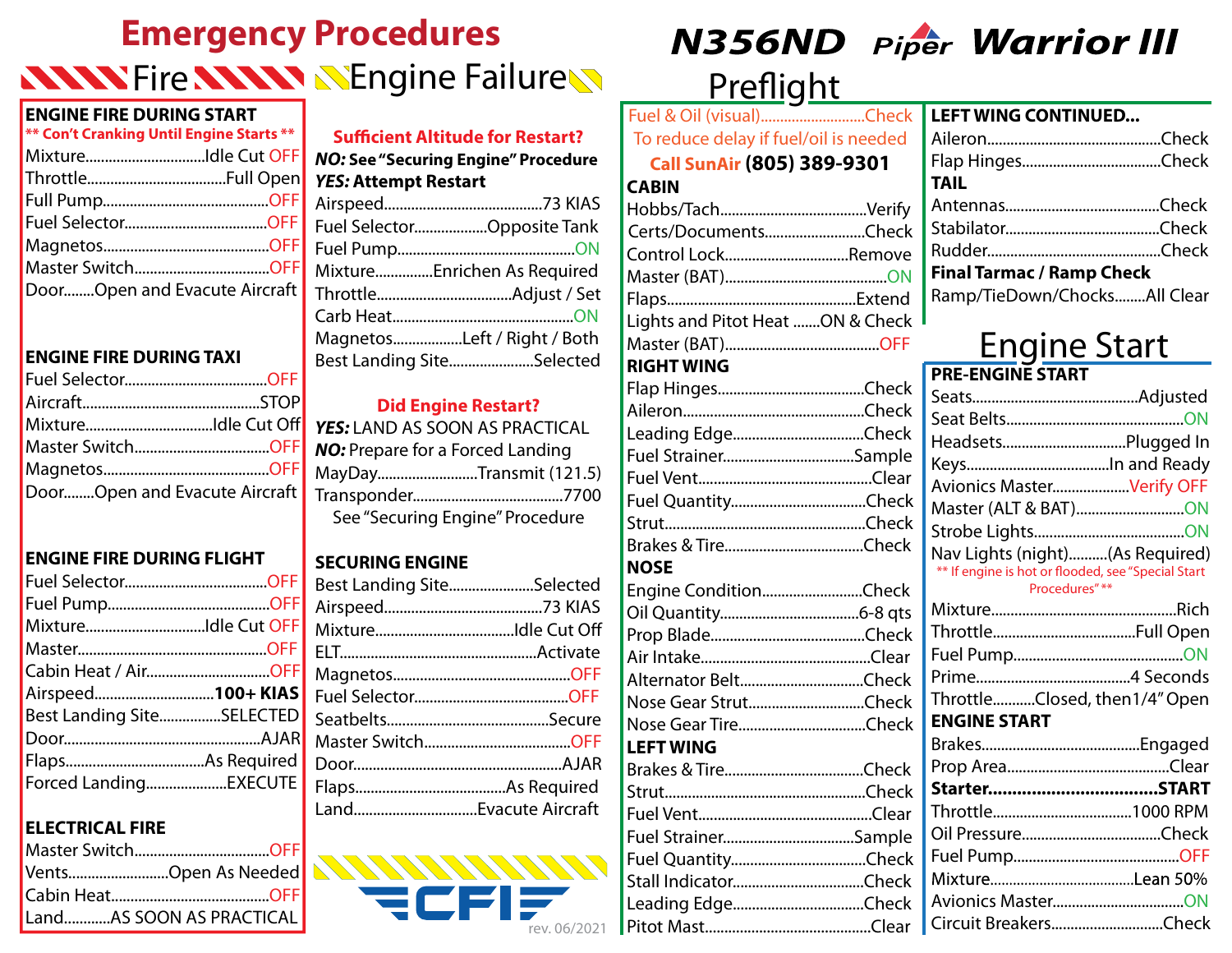# **Emergency Procedures KNAN Fire ANAM NEngine Failure**

#### **ENGINE FIRE DURING START**

| ** Con't Cranking Until Engine Starts ** |  |
|------------------------------------------|--|
| MixtureIdle Cut OFF                      |  |
|                                          |  |
|                                          |  |
|                                          |  |
|                                          |  |
|                                          |  |
| DoorOpen and Evacute Aircraft            |  |

### **ENGINE FIRE DURING TAXI**

| MixtureIdle Cut Off           |
|-------------------------------|
| Master SwitchOFF              |
|                               |
| DoorOpen and Evacute Aircraft |
|                               |

#### **ENGINE FIRE DURING FLIGHT**

| Cabin Heat / AirOFF       |  |
|---------------------------|--|
|                           |  |
| Airspeed100+KIAS          |  |
| Best Landing SiteSELECTED |  |
|                           |  |
|                           |  |

#### **ELECTRICAL FIRE**

Ī

| Master SwitchOFF         |
|--------------------------|
| VentsOpen As Needed      |
|                          |
| LandAS SOON AS PRACTICAL |

#### **Sufficient Altitude for Restart?** *NO:* **See "Securing Engine" Procedure** *YES:* **Attempt Restart** Airspeed.........................................73 KIAS Fuel Selector...................Opposite Tank Fuel Pump..............................................ON Mixture...............Enrichen As Required Throttle...................................Adjust / Set

Carb Heat...............................................ON Magnetos..................Left / Right / Both Best Landing Site......................Selected

#### **Did Engine Restart?**

| YES: LAND AS SOON AS PRACTICAL          |  |
|-----------------------------------------|--|
| <b>NO:</b> Prepare for a Forced Landing |  |
| MayDayTransmit (121.5)                  |  |
|                                         |  |
| See "Securing Engine" Procedure         |  |

### **SECURING ENGINE**

| Best Landing SiteSelected |  |
|---------------------------|--|
|                           |  |
|                           |  |
|                           |  |
|                           |  |
|                           |  |
|                           |  |
|                           |  |
|                           |  |
|                           |  |
| LandEvacute Aircraft      |  |
|                           |  |





# Preflight

| Fuel & Oil (visual)Check              |
|---------------------------------------|
| To reduce delay if fuel/oil is needed |
| <b>Call SunAir (805) 389-9301</b>     |
| <b>CABIN</b>                          |
|                                       |
| Certs/DocumentsCheck                  |
| Control LockRemove                    |
|                                       |
|                                       |
| Lights and Pitot Heat ON & Check      |
|                                       |
| <b>RIGHT WING</b>                     |
|                                       |
|                                       |
| Leading EdgeCheck                     |
| Fuel StrainerSample                   |
|                                       |
|                                       |
|                                       |
|                                       |
| <b>NOSE</b>                           |
| Engine ConditionCheck                 |
|                                       |
|                                       |

#### **LEFT WING CONTINUED...** Aileron.............................................Check Flap Hinges....................................Check **TAIL** Antennas........................................Check Stabilator........................................Check Rudder.............................................Check **Final Tarmac / Ramp Check** Ramp/TieDown/Chocks........All Clear

# Engine Start **PRE-ENGINE START**

| Avionics MasterVerify OFF                                                                                                                  |
|--------------------------------------------------------------------------------------------------------------------------------------------|
| Master (ALT & BAT)ON                                                                                                                       |
|                                                                                                                                            |
| Nav Lights (night)(As Required)                                                                                                            |
| ** If engine is hot or flooded, see "Special Start                                                                                         |
| Procedures"**                                                                                                                              |
|                                                                                                                                            |
|                                                                                                                                            |
|                                                                                                                                            |
|                                                                                                                                            |
| ThrottleClosed, then1/4" Open                                                                                                              |
| <b>ENGINE START</b>                                                                                                                        |
|                                                                                                                                            |
|                                                                                                                                            |
|                                                                                                                                            |
|                                                                                                                                            |
|                                                                                                                                            |
|                                                                                                                                            |
|                                                                                                                                            |
|                                                                                                                                            |
| Circuit BreakersCheck                                                                                                                      |
| Fuel StrainerSample<br>Engine ConditionCheck<br>Alternator BeltCheck<br>Nose Gear StrutCheck<br>Nose Gear TireCheck<br>Fuel StrainerSample |